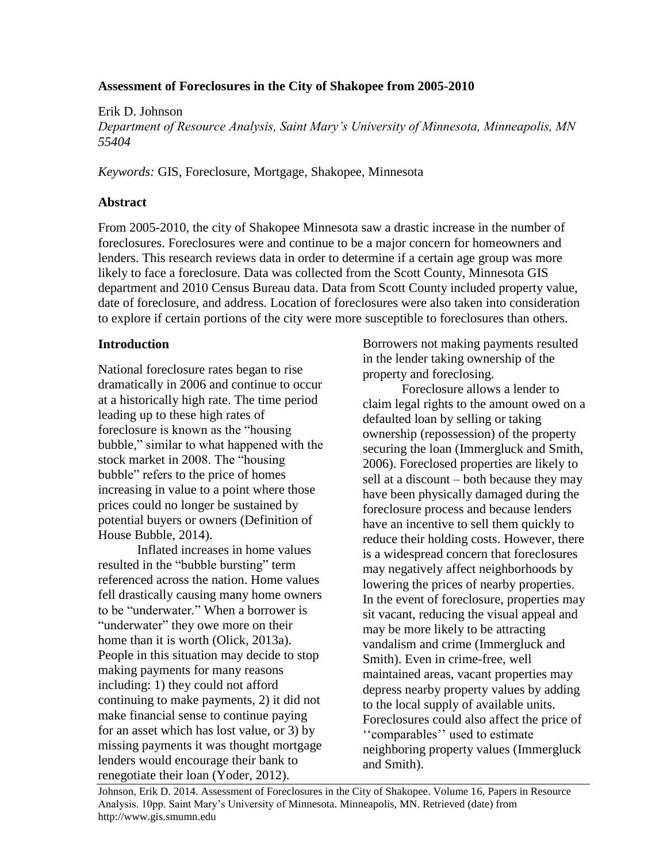# **Assessment of Foreclosures in the City of Shakopee from 2005-2010**

Erik D. Johnson *Department of Resource Analysis, Saint Mary's University of Minnesota, Minneapolis, MN 55404*

*Keywords:* GIS, Foreclosure, Mortgage, Shakopee, Minnesota

## **Abstract**

From 2005-2010, the city of Shakopee Minnesota saw a drastic increase in the number of foreclosures. Foreclosures were and continue to be a major concern for homeowners and lenders. This research reviews data in order to determine if a certain age group was more likely to face a foreclosure. Data was collected from the Scott County, Minnesota GIS department and 2010 Census Bureau data. Data from Scott County included property value, date of foreclosure, and address. Location of foreclosures were also taken into consideration to explore if certain portions of the city were more susceptible to foreclosures than others.

## **Introduction**

National foreclosure rates began to rise dramatically in 2006 and continue to occur at a historically high rate. The time period leading up to these high rates of foreclosure is known as the "housing bubble," similar to what happened with the stock market in 2008. The "housing bubble" refers to the price of homes increasing in value to a point where those prices could no longer be sustained by potential buyers or owners (Definition of House Bubble, 2014).

Inflated increases in home values resulted in the "bubble bursting" term referenced across the nation. Home values fell drastically causing many home owners to be "underwater." When a borrower is "underwater" they owe more on their home than it is worth (Olick, 2013a). People in this situation may decide to stop making payments for many reasons including: 1) they could not afford continuing to make payments, 2) it did not make financial sense to continue paying for an asset which has lost value, or 3) by missing payments it was thought mortgage lenders would encourage their bank to renegotiate their loan (Yoder, 2012).

Borrowers not making payments resulted in the lender taking ownership of the property and foreclosing.

Foreclosure allows a lender to claim legal rights to the amount owed on a defaulted loan by selling or taking ownership (repossession) of the property securing the loan (Immergluck and Smith, 2006). Foreclosed properties are likely to sell at a discount – both because they may have been physically damaged during the foreclosure process and because lenders have an incentive to sell them quickly to reduce their holding costs. However, there is a widespread concern that foreclosures may negatively affect neighborhoods by lowering the prices of nearby properties. In the event of foreclosure, properties may sit vacant, reducing the visual appeal and may be more likely to be attracting vandalism and crime (Immergluck and Smith). Even in crime-free, well maintained areas, vacant properties may depress nearby property values by adding to the local supply of available units. Foreclosures could also affect the price of ''comparables'' used to estimate neighboring property values (Immergluck and Smith).

Johnson, Erik D. 2014. Assessment of Foreclosures in the City of Shakopee. Volume 16, Papers in Resource Analysis. 10pp. Saint Mary's University of Minnesota. Minneapolis, MN. Retrieved (date) from http://www.gis.smumn.edu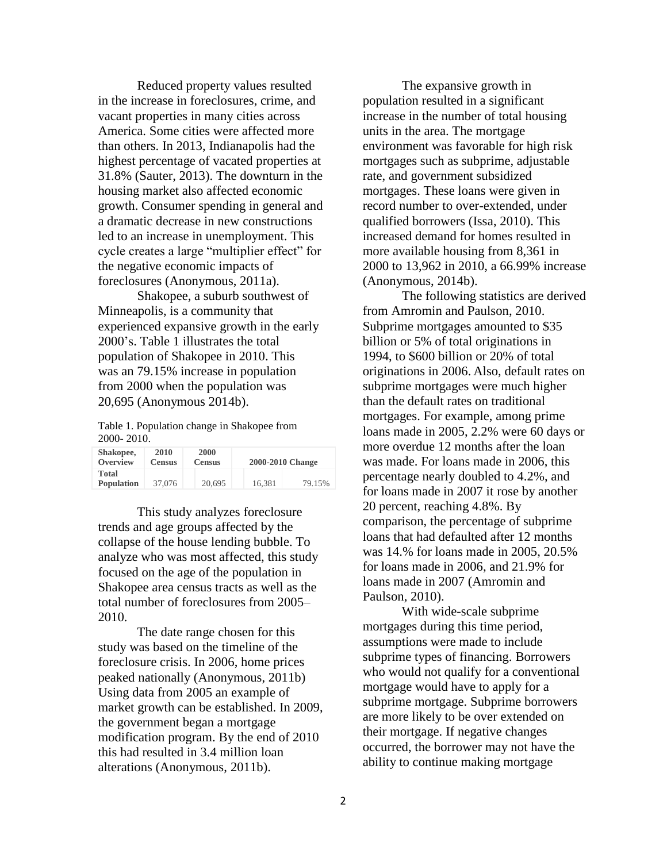Reduced property values resulted in the increase in foreclosures, crime, and vacant properties in many cities across America. Some cities were affected more than others. In 2013, Indianapolis had the highest percentage of vacated properties at 31.8% (Sauter, 2013). The downturn in the housing market also affected economic growth. Consumer spending in general and a dramatic decrease in new constructions led to an increase in unemployment. This cycle creates a large "multiplier effect" for the negative economic impacts of foreclosures (Anonymous, 2011a).

Shakopee, a suburb southwest of Minneapolis, is a community that experienced expansive growth in the early 2000's. Table 1 illustrates the total population of Shakopee in 2010. This was an 79.15% increase in population from 2000 when the population was 20,695 (Anonymous 2014b).

Table 1. Population change in Shakopee from 2000- 2010.

| Shakopee,<br>Overview      | 2010<br><b>Census</b> | 2000<br><b>Census</b> |        | 2000-2010 Change |
|----------------------------|-----------------------|-----------------------|--------|------------------|
| Total<br><b>Population</b> | 37,076                | 20.695                | 16.381 | 79.15%           |

This study analyzes foreclosure trends and age groups affected by the collapse of the house lending bubble. To analyze who was most affected, this study focused on the age of the population in Shakopee area census tracts as well as the total number of foreclosures from 2005– 2010.

The date range chosen for this study was based on the timeline of the foreclosure crisis. In 2006, home prices peaked nationally (Anonymous, 2011b) Using data from 2005 an example of market growth can be established. In 2009, the government began a mortgage modification program. By the end of 2010 this had resulted in 3.4 million loan alterations (Anonymous, 2011b).

The expansive growth in population resulted in a significant increase in the number of total housing units in the area. The mortgage environment was favorable for high risk mortgages such as subprime, adjustable rate, and government subsidized mortgages. These loans were given in record number to over-extended, under qualified borrowers (Issa, 2010). This increased demand for homes resulted in more available housing from 8,361 in 2000 to 13,962 in 2010, a 66.99% increase (Anonymous, 2014b).

The following statistics are derived from Amromin and Paulson, 2010. Subprime mortgages amounted to \$35 billion or 5% of total originations in 1994, to \$600 billion or 20% of total originations in 2006. Also, default rates on subprime mortgages were much higher than the default rates on traditional mortgages. For example, among prime loans made in 2005, 2.2% were 60 days or more overdue 12 months after the loan was made. For loans made in 2006, this percentage nearly doubled to 4.2%, and for loans made in 2007 it rose by another 20 percent, reaching 4.8%. By comparison, the percentage of subprime loans that had defaulted after 12 months was 14.% for loans made in 2005, 20.5% for loans made in 2006, and 21.9% for loans made in 2007 (Amromin and Paulson, 2010).

With wide-scale subprime mortgages during this time period, assumptions were made to include subprime types of financing. Borrowers who would not qualify for a conventional mortgage would have to apply for a subprime mortgage. Subprime borrowers are more likely to be over extended on their mortgage. If negative changes occurred, the borrower may not have the ability to continue making mortgage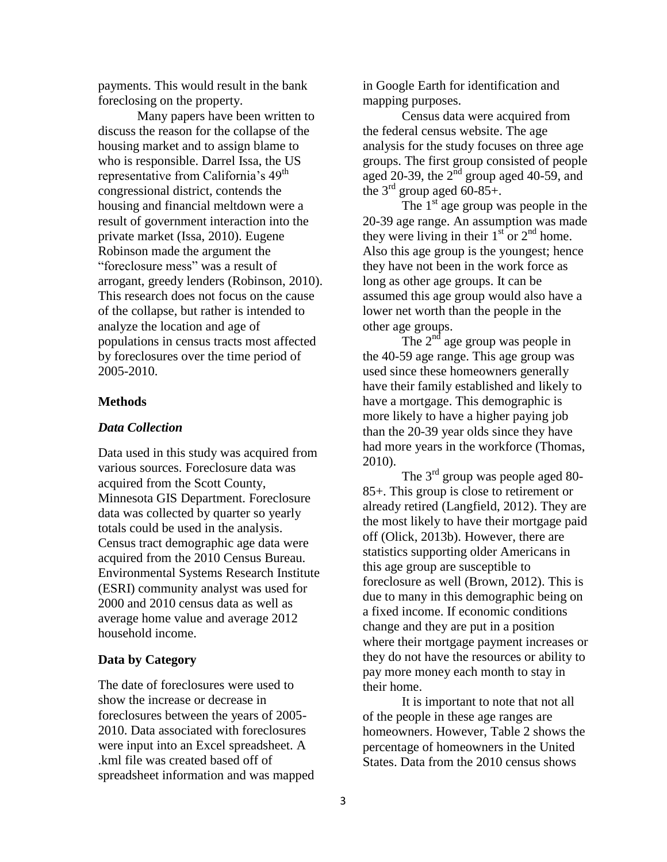payments. This would result in the bank foreclosing on the property.

Many papers have been written to discuss the reason for the collapse of the housing market and to assign blame to who is responsible. Darrel Issa, the US representative from California's 49<sup>th</sup> congressional district, contends the housing and financial meltdown were a result of government interaction into the private market (Issa, 2010). Eugene Robinson made the argument the "foreclosure mess" was a result of arrogant, greedy lenders (Robinson, 2010). This research does not focus on the cause of the collapse, but rather is intended to analyze the location and age of populations in census tracts most affected by foreclosures over the time period of 2005-2010.

### **Methods**

### *Data Collection*

Data used in this study was acquired from various sources. Foreclosure data was acquired from the Scott County, Minnesota GIS Department. Foreclosure data was collected by quarter so yearly totals could be used in the analysis. Census tract demographic age data were acquired from the 2010 Census Bureau. Environmental Systems Research Institute (ESRI) community analyst was used for 2000 and 2010 census data as well as average home value and average 2012 household income.

#### **Data by Category**

The date of foreclosures were used to show the increase or decrease in foreclosures between the years of 2005- 2010. Data associated with foreclosures were input into an Excel spreadsheet. A .kml file was created based off of spreadsheet information and was mapped in Google Earth for identification and mapping purposes.

Census data were acquired from the federal census website. The age analysis for the study focuses on three age groups. The first group consisted of people aged 20-39, the  $2^{nd}$  group aged 40-59, and the  $3<sup>rd</sup>$  group aged 60-85+.

The  $1<sup>st</sup>$  age group was people in the 20-39 age range. An assumption was made they were living in their  $1<sup>st</sup>$  or  $2<sup>nd</sup>$  home. Also this age group is the youngest; hence they have not been in the work force as long as other age groups. It can be assumed this age group would also have a lower net worth than the people in the other age groups.

The  $2^{nd}$  age group was people in the 40-59 age range. This age group was used since these homeowners generally have their family established and likely to have a mortgage. This demographic is more likely to have a higher paying job than the 20-39 year olds since they have had more years in the workforce (Thomas, 2010).

The  $3^{rd}$  group was people aged 80-85+. This group is close to retirement or already retired (Langfield, 2012). They are the most likely to have their mortgage paid off (Olick, 2013b). However, there are statistics supporting older Americans in this age group are susceptible to foreclosure as well (Brown, 2012). This is due to many in this demographic being on a fixed income. If economic conditions change and they are put in a position where their mortgage payment increases or they do not have the resources or ability to pay more money each month to stay in their home.

It is important to note that not all of the people in these age ranges are homeowners. However, Table 2 shows the percentage of homeowners in the United States. Data from the 2010 census shows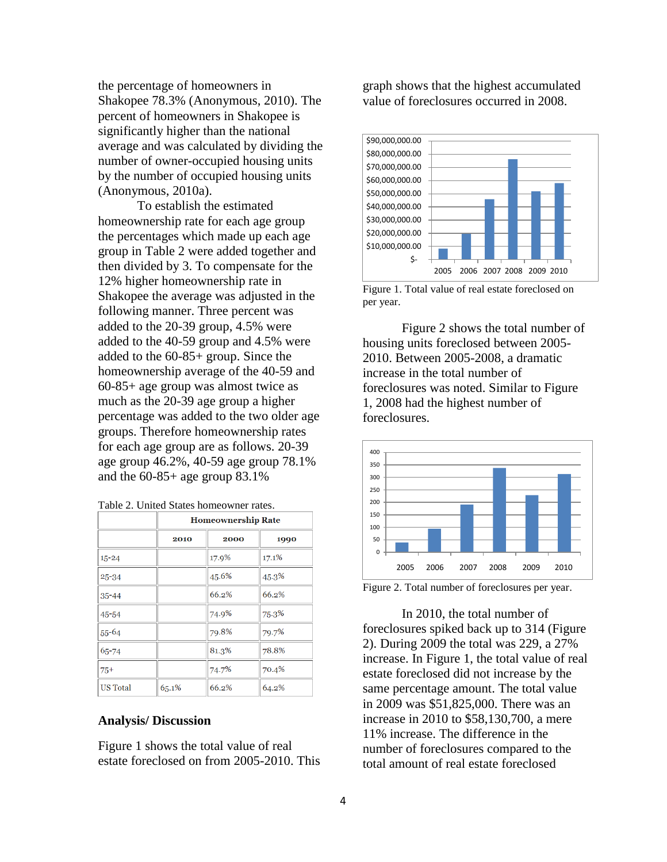the percentage of homeowners in Shakopee 78.3% (Anonymous, 2010). The percent of homeowners in Shakopee is significantly higher than the national average and was calculated by dividing the number of owner-occupied housing units by the number of occupied housing units (Anonymous, 2010a).

To establish the estimated homeownership rate for each age group the percentages which made up each age group in Table 2 were added together and then divided by 3. To compensate for the 12% higher homeownership rate in Shakopee the average was adjusted in the following manner. Three percent was added to the 20-39 group, 4.5% were added to the 40-59 group and 4.5% were added to the 60-85+ group. Since the homeownership average of the 40-59 and 60-85+ age group was almost twice as much as the 20-39 age group a higher percentage was added to the two older age groups. Therefore homeownership rates for each age group are as follows. 20-39 age group 46.2%, 40-59 age group 78.1% and the  $60-85+$  age group  $83.1\%$ 

|  | Table 2. United States homeowner rates. |
|--|-----------------------------------------|
|--|-----------------------------------------|

|                 | <b>Homeownership Rate</b> |       |       |  |  |
|-----------------|---------------------------|-------|-------|--|--|
|                 | 2010                      | 2000  | 1990  |  |  |
| $15 - 24$       |                           | 17.9% | 17.1% |  |  |
| $25 - 34$       |                           | 45.6% | 45.3% |  |  |
| $35 - 44$       |                           | 66.2% | 66.2% |  |  |
| $45 - 54$       |                           | 74.9% | 75.3% |  |  |
| $55 - 64$       |                           | 79.8% | 79.7% |  |  |
| 65-74           |                           | 81.3% | 78.8% |  |  |
| $75+$           |                           | 74.7% | 70.4% |  |  |
| <b>US</b> Total | 65.1%                     | 66.2% | 64.2% |  |  |

## **Analysis/ Discussion**

Figure 1 shows the total value of real estate foreclosed on from 2005-2010. This

graph shows that the highest accumulated value of foreclosures occurred in 2008.



Figure 1. Total value of real estate foreclosed on per year.

Figure 2 shows the total number of housing units foreclosed between 2005- 2010. Between 2005-2008, a dramatic increase in the total number of foreclosures was noted. Similar to Figure 1, 2008 had the highest number of foreclosures.



Figure 2. Total number of foreclosures per year.

In 2010, the total number of foreclosures spiked back up to 314 (Figure 2). During 2009 the total was 229, a 27% increase. In Figure 1, the total value of real estate foreclosed did not increase by the same percentage amount. The total value in 2009 was \$51,825,000. There was an increase in 2010 to \$58,130,700, a mere 11% increase. The difference in the number of foreclosures compared to the total amount of real estate foreclosed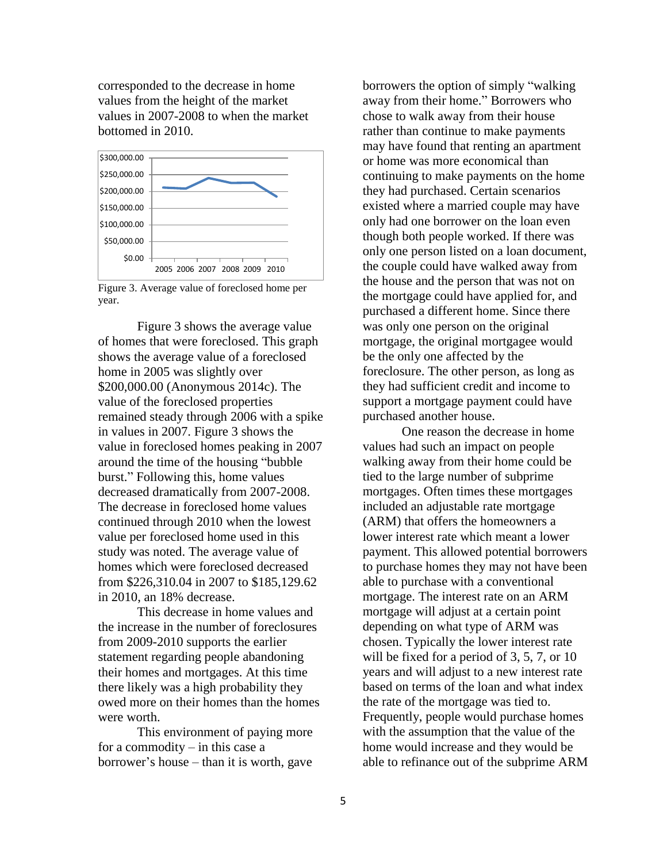corresponded to the decrease in home values from the height of the market values in 2007-2008 to when the market bottomed in 2010.



Figure 3. Average value of foreclosed home per year.

Figure 3 shows the average value of homes that were foreclosed. This graph shows the average value of a foreclosed home in 2005 was slightly over \$200,000.00 (Anonymous 2014c). The value of the foreclosed properties remained steady through 2006 with a spike in values in 2007. Figure 3 shows the value in foreclosed homes peaking in 2007 around the time of the housing "bubble burst." Following this, home values decreased dramatically from 2007-2008. The decrease in foreclosed home values continued through 2010 when the lowest value per foreclosed home used in this study was noted. The average value of homes which were foreclosed decreased from \$226,310.04 in 2007 to \$185,129.62 in 2010, an 18% decrease.

This decrease in home values and the increase in the number of foreclosures from 2009-2010 supports the earlier statement regarding people abandoning their homes and mortgages. At this time there likely was a high probability they owed more on their homes than the homes were worth.

This environment of paying more for a commodity – in this case a borrower's house – than it is worth, gave

borrowers the option of simply "walking away from their home." Borrowers who chose to walk away from their house rather than continue to make payments may have found that renting an apartment or home was more economical than continuing to make payments on the home they had purchased. Certain scenarios existed where a married couple may have only had one borrower on the loan even though both people worked. If there was only one person listed on a loan document, the couple could have walked away from the house and the person that was not on the mortgage could have applied for, and purchased a different home. Since there was only one person on the original mortgage, the original mortgagee would be the only one affected by the foreclosure. The other person, as long as they had sufficient credit and income to support a mortgage payment could have purchased another house.

One reason the decrease in home values had such an impact on people walking away from their home could be tied to the large number of subprime mortgages. Often times these mortgages included an adjustable rate mortgage (ARM) that offers the homeowners a lower interest rate which meant a lower payment. This allowed potential borrowers to purchase homes they may not have been able to purchase with a conventional mortgage. The interest rate on an ARM mortgage will adjust at a certain point depending on what type of ARM was chosen. Typically the lower interest rate will be fixed for a period of 3, 5, 7, or 10 years and will adjust to a new interest rate based on terms of the loan and what index the rate of the mortgage was tied to. Frequently, people would purchase homes with the assumption that the value of the home would increase and they would be able to refinance out of the subprime ARM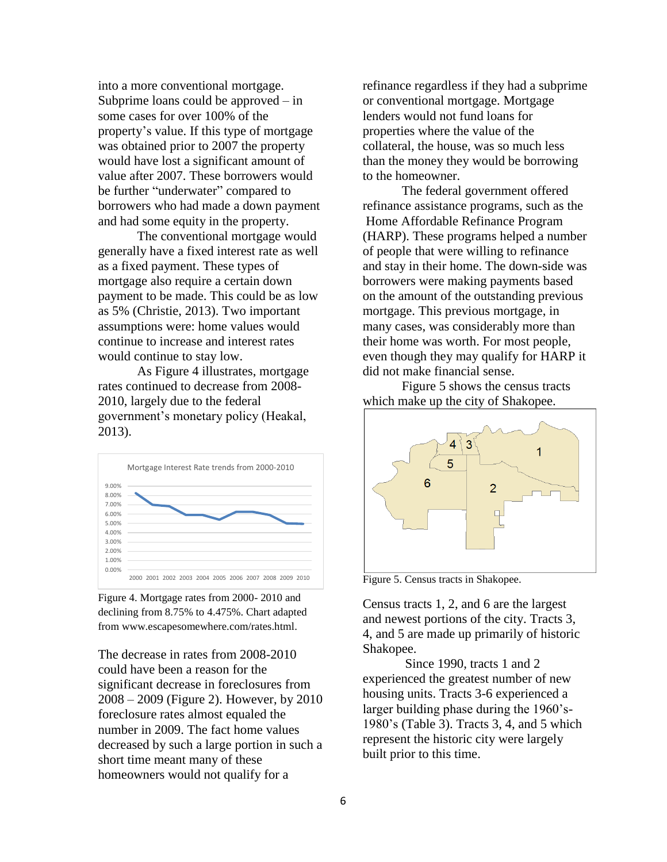into a more conventional mortgage. Subprime loans could be approved – in some cases for over 100% of the property's value. If this type of mortgage was obtained prior to 2007 the property would have lost a significant amount of value after 2007. These borrowers would be further "underwater" compared to borrowers who had made a down payment and had some equity in the property.

The conventional mortgage would generally have a fixed interest rate as well as a fixed payment. These types of mortgage also require a certain down payment to be made. This could be as low as 5% (Christie, 2013). Two important assumptions were: home values would continue to increase and interest rates would continue to stay low.

As Figure 4 illustrates, mortgage rates continued to decrease from 2008- 2010, largely due to the federal government's monetary policy (Heakal, 2013).



Figure 4. Mortgage rates from 2000- 2010 and declining from 8.75% to 4.475%. Chart adapted from www.escapesomewhere.com/rates.html.

The decrease in rates from 2008-2010 could have been a reason for the significant decrease in foreclosures from 2008 – 2009 (Figure 2). However, by 2010 foreclosure rates almost equaled the number in 2009. The fact home values decreased by such a large portion in such a short time meant many of these homeowners would not qualify for a

refinance regardless if they had a subprime or conventional mortgage. Mortgage lenders would not fund loans for properties where the value of the collateral, the house, was so much less than the money they would be borrowing to the homeowner.

The federal government offered refinance assistance programs, such as the Home Affordable Refinance Program (HARP). These programs helped a number of people that were willing to refinance and stay in their home. The down-side was borrowers were making payments based on the amount of the outstanding previous mortgage. This previous mortgage, in many cases, was considerably more than their home was worth. For most people, even though they may qualify for HARP it did not make financial sense.

Figure 5 shows the census tracts which make up the city of Shakopee.



Figure 5. Census tracts in Shakopee.

Census tracts 1, 2, and 6 are the largest and newest portions of the city. Tracts 3, 4, and 5 are made up primarily of historic Shakopee.

Since 1990, tracts 1 and 2 experienced the greatest number of new housing units. Tracts 3-6 experienced a larger building phase during the 1960's-1980's (Table 3). Tracts 3, 4, and 5 which represent the historic city were largely built prior to this time.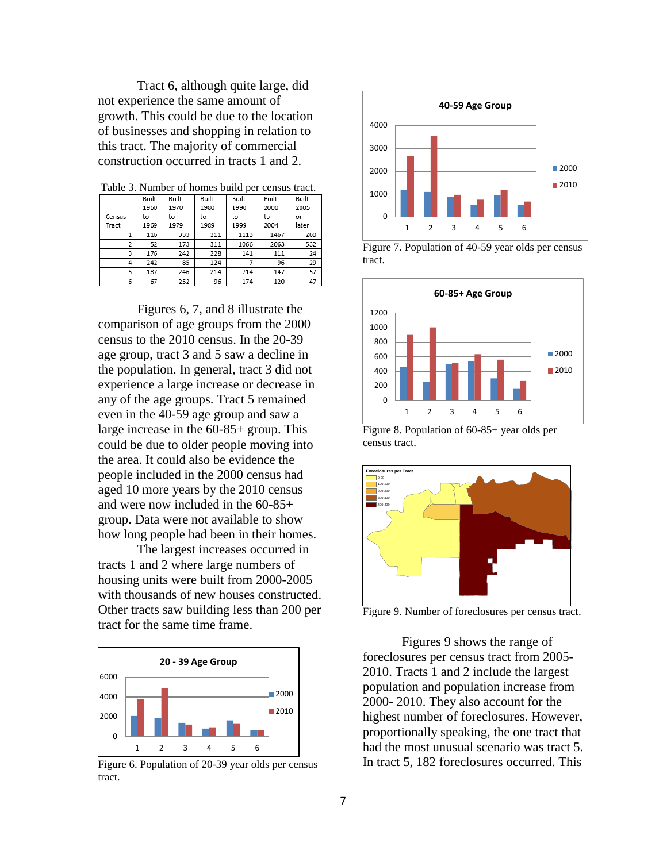Tract 6, although quite large, did not experience the same amount of growth. This could be due to the location of businesses and shopping in relation to this tract. The majority of commercial construction occurred in tracts 1 and 2.

| raone of rannoer or nomes came per cemsas tract. |       |       |       |       |       |       |  |
|--------------------------------------------------|-------|-------|-------|-------|-------|-------|--|
|                                                  | Built | Built | Built | Built | Built | Built |  |
|                                                  | 1960  | 1970  | 1980  | 1990  | 2000  | 2005  |  |
| Census                                           | to    | to    | to    | to    | to    | or    |  |
| Tract                                            | 1969  | 1979  | 1989  | 1999  | 2004  | later |  |
|                                                  | 116   | 333   | 311   | 1113  | 1467  | 260   |  |
| 2                                                | 52    | 173   | 311   | 1066  | 2063  | 532   |  |
| 3                                                | 176   | 242   | 228   | 141   | 111   | 24    |  |
| 4                                                | 242   | 85    | 124   |       | 96    | 29    |  |
| 5                                                | 187   | 246   | 214   | 714   | 147   | 57    |  |
| 6                                                | 67    | 252   | 96    | 174   | 120   | 47    |  |

Table 3. Number of homes build per census tract.

Figures 6, 7, and 8 illustrate the comparison of age groups from the 2000 census to the 2010 census. In the 20-39 age group, tract 3 and 5 saw a decline in the population. In general, tract 3 did not experience a large increase or decrease in any of the age groups. Tract 5 remained even in the 40-59 age group and saw a large increase in the 60-85+ group. This could be due to older people moving into the area. It could also be evidence the people included in the 2000 census had aged 10 more years by the 2010 census and were now included in the 60-85+ group. Data were not available to show how long people had been in their homes.

The largest increases occurred in tracts 1 and 2 where large numbers of housing units were built from 2000-2005 with thousands of new houses constructed. Other tracts saw building less than 200 per tract for the same time frame.



Figure 6. Population of 20-39 year olds per census tract.



Figure 7. Population of 40-59 year olds per census tract.



Figure 8. Population of 60-85+ year olds per census tract.



Figure 9. Number of foreclosures per census tract.

Figures 9 shows the range of foreclosures per census tract from 2005- 2010. Tracts 1 and 2 include the largest population and population increase from 2000- 2010. They also account for the highest number of foreclosures. However, proportionally speaking, the one tract that had the most unusual scenario was tract 5. In tract 5, 182 foreclosures occurred. This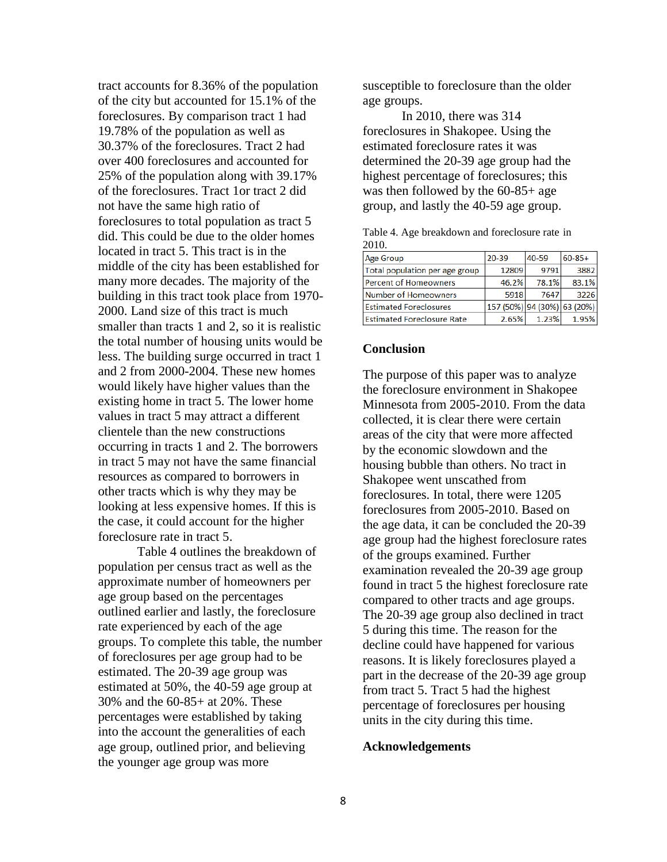tract accounts for 8.36% of the population of the city but accounted for 15.1% of the foreclosures. By comparison tract 1 had 19.78% of the population as well as 30.37% of the foreclosures. Tract 2 had over 400 foreclosures and accounted for 25% of the population along with 39.17% of the foreclosures. Tract 1or tract 2 did not have the same high ratio of foreclosures to total population as tract 5 did. This could be due to the older homes located in tract 5. This tract is in the middle of the city has been established for many more decades. The majority of the building in this tract took place from 1970- 2000. Land size of this tract is much smaller than tracts 1 and 2, so it is realistic the total number of housing units would be less. The building surge occurred in tract 1 and 2 from 2000-2004. These new homes would likely have higher values than the existing home in tract 5. The lower home values in tract 5 may attract a different clientele than the new constructions occurring in tracts 1 and 2. The borrowers in tract 5 may not have the same financial resources as compared to borrowers in other tracts which is why they may be looking at less expensive homes. If this is the case, it could account for the higher foreclosure rate in tract 5.

Table 4 outlines the breakdown of population per census tract as well as the approximate number of homeowners per age group based on the percentages outlined earlier and lastly, the foreclosure rate experienced by each of the age groups. To complete this table, the number of foreclosures per age group had to be estimated. The 20-39 age group was estimated at 50%, the 40-59 age group at 30% and the 60-85+ at 20%. These percentages were established by taking into the account the generalities of each age group, outlined prior, and believing the younger age group was more

susceptible to foreclosure than the older age groups.

In 2010, there was 314 foreclosures in Shakopee. Using the estimated foreclosure rates it was determined the 20-39 age group had the highest percentage of foreclosures; this was then followed by the 60-85+ age group, and lastly the 40-59 age group.

|       |  |  | Table 4. Age breakdown and foreclosure rate in |  |
|-------|--|--|------------------------------------------------|--|
| 2010. |  |  |                                                |  |

| <b>Age Group</b>                  | $20 - 39$                   | 40-59 | $60 - 85 +$ |  |
|-----------------------------------|-----------------------------|-------|-------------|--|
| Total population per age group    | 12809                       | 9791  | 3882        |  |
| Percent of Homeowners             | 46.2%                       | 78.1% | 83.1%       |  |
| Number of Homeowners              | 5918                        | 7647  | 3226        |  |
| <b>Estimated Foreclosures</b>     | 157 (50%) 94 (30%) 63 (20%) |       |             |  |
| <b>Estimated Foreclosure Rate</b> | 2.65%                       | 1.23% | 1.95%       |  |
|                                   |                             |       |             |  |

### **Conclusion**

The purpose of this paper was to analyze the foreclosure environment in Shakopee Minnesota from 2005-2010. From the data collected, it is clear there were certain areas of the city that were more affected by the economic slowdown and the housing bubble than others. No tract in Shakopee went unscathed from foreclosures. In total, there were 1205 foreclosures from 2005-2010. Based on the age data, it can be concluded the 20-39 age group had the highest foreclosure rates of the groups examined. Further examination revealed the 20-39 age group found in tract 5 the highest foreclosure rate compared to other tracts and age groups. The 20-39 age group also declined in tract 5 during this time. The reason for the decline could have happened for various reasons. It is likely foreclosures played a part in the decrease of the 20-39 age group from tract 5. Tract 5 had the highest percentage of foreclosures per housing units in the city during this time.

#### **Acknowledgements**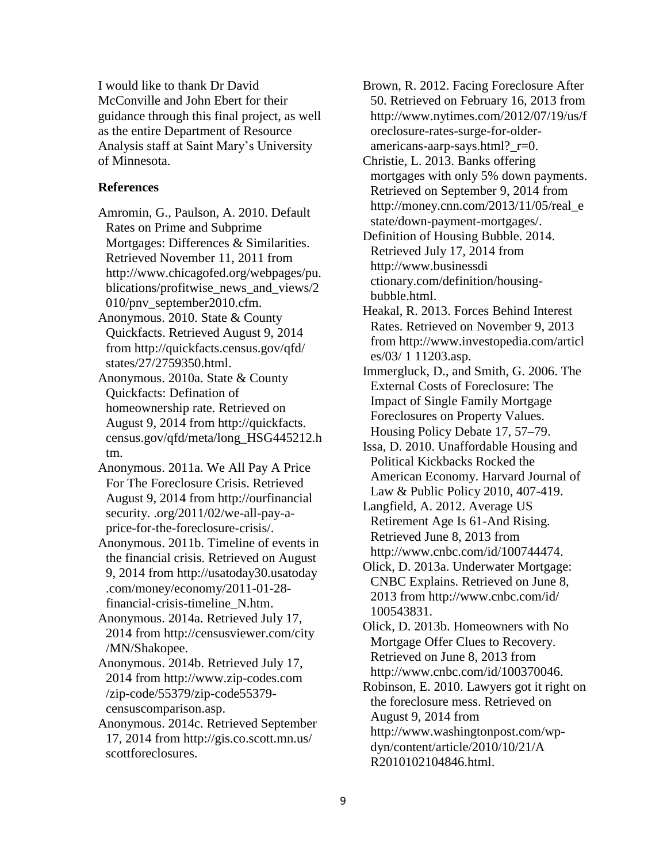I would like to thank Dr David McConville and John Ebert for their guidance through this final project, as well as the entire Department of Resource Analysis staff at Saint Mary's University of Minnesota.

## **References**

- Amromin, G., Paulson, A. 2010. Default Rates on Prime and Subprime Mortgages: Differences & Similarities. Retrieved November 11, 2011 from http://www.chicagofed.org/webpages/pu. blications/profitwise news and views/2 010/pnv\_september2010.cfm.
- Anonymous. 2010. State & County Quickfacts. Retrieved August 9, 2014 from http://quickfacts.census.gov/qfd/ states/27/2759350.html.
- Anonymous. 2010a. State & County Quickfacts: Defination of homeownership rate. Retrieved on August 9, 2014 from http://quickfacts. census.gov/qfd/meta/long\_HSG445212.h tm.
- Anonymous. 2011a. We All Pay A Price For The Foreclosure Crisis. Retrieved August 9, 2014 from http://ourfinancial security. .org/2011/02/we-all-pay-aprice-for-the-foreclosure-crisis/.
- Anonymous. 2011b. Timeline of events in the financial crisis. Retrieved on August 9, 2014 from http://usatoday30.usatoday .com/money/economy/2011-01-28 financial-crisis-timeline\_N.htm.
- Anonymous. 2014a. Retrieved July 17, 2014 from http://censusviewer.com/city /MN/Shakopee.
- Anonymous. 2014b. Retrieved July 17, 2014 from http://www.zip-codes.com /zip-code/55379/zip-code55379 censuscomparison.asp.
- Anonymous. 2014c. Retrieved September 17, 2014 from http://gis.co.scott.mn.us/ scottforeclosures.

Brown, R. 2012. Facing Foreclosure After 50. Retrieved on February 16, 2013 from http://www.nytimes.com/2012/07/19/us/f oreclosure-rates-surge-for-olderamericans-aarp-says.html? r=0.

Christie, L. 2013. Banks offering mortgages with only 5% down payments. Retrieved on September 9, 2014 from http://money.cnn.com/2013/11/05/real\_e state/down-payment-mortgages/.

- Definition of Housing Bubble. 2014. Retrieved July 17, 2014 from http://www.businessdi ctionary.com/definition/housingbubble.html.
- Heakal, R. 2013. Forces Behind Interest Rates. Retrieved on November 9, 2013 from.http://www.investopedia.com/articl es/03/ 1 11203.asp.
- Immergluck, D., and Smith, G. 2006. The External Costs of Foreclosure: The Impact of Single Family Mortgage Foreclosures on Property Values. Housing Policy Debate 17, 57–79.
- Issa, D. 2010. Unaffordable Housing and Political Kickbacks Rocked the American Economy. Harvard Journal of Law & Public Policy 2010, 407-419.
- Langfield, A. 2012. Average US Retirement Age Is 61-And Rising. Retrieved June 8, 2013 from http://www.cnbc.com/id/100744474.
- Olick, D. 2013a. Underwater Mortgage: CNBC Explains. Retrieved on June 8, 2013 from http://www.cnbc.com/id/ 100543831.
- Olick, D. 2013b. Homeowners with No Mortgage Offer Clues to Recovery. Retrieved on June 8, 2013 from http://www.cnbc.com/id/100370046.
- Robinson, E. 2010. Lawyers got it right on the foreclosure mess. Retrieved on August 9, 2014 from http://www.washingtonpost.com/wp-

dyn/content/article/2010/10/21/A R2010102104846.html.